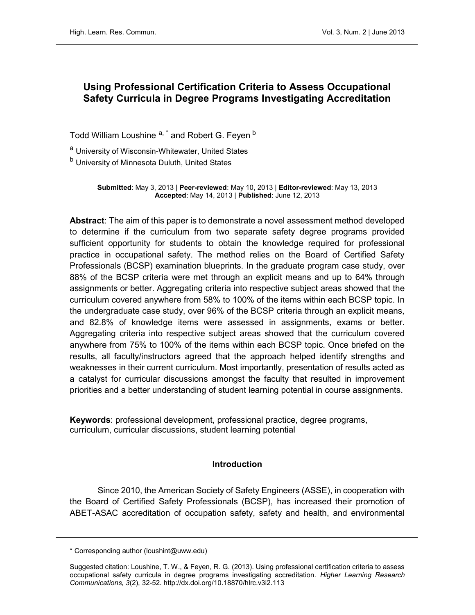# Using Professional Certification Criteria to Assess Occupational Safety Curricula in Degree Programs Investigating Accreditation

Todd William Loushine <sup>a, \*</sup> and Robert G. Feyen <sup>b</sup>

a University of Wisconsin-Whitewater, United States

<sup>b</sup> University of Minnesota Duluth, United States

Submitted: May 3, 2013 | Peer-reviewed: May 10, 2013 | Editor-reviewed: May 13, 2013 Accepted: May 14, 2013 | Published: June 12, 2013

Abstract: The aim of this paper is to demonstrate a novel assessment method developed to determine if the curriculum from two separate safety degree programs provided sufficient opportunity for students to obtain the knowledge required for professional practice in occupational safety. The method relies on the Board of Certified Safety Professionals (BCSP) examination blueprints. In the graduate program case study, over 88% of the BCSP criteria were met through an explicit means and up to 64% through assignments or better. Aggregating criteria into respective subject areas showed that the curriculum covered anywhere from 58% to 100% of the items within each BCSP topic. In the undergraduate case study, over 96% of the BCSP criteria through an explicit means, and 82.8% of knowledge items were assessed in assignments, exams or better. Aggregating criteria into respective subject areas showed that the curriculum covered anywhere from 75% to 100% of the items within each BCSP topic. Once briefed on the results, all faculty/instructors agreed that the approach helped identify strengths and weaknesses in their current curriculum. Most importantly, presentation of results acted as a catalyst for curricular discussions amongst the faculty that resulted in improvement priorities and a better understanding of student learning potential in course assignments.

Keywords: professional development, professional practice, degree programs, curriculum, curricular discussions, student learning potential

#### Introduction

Since 2010, the American Society of Safety Engineers (ASSE), in cooperation with the Board of Certified Safety Professionals (BCSP), has increased their promotion of ABET-ASAC accreditation of occupation safety, safety and health, and environmental

<sup>\*</sup> Corresponding author (loushint@uww.edu)

Suggested citation: Loushine, T. W., & Feyen, R. G. (2013). Using professional certification criteria to assess occupational safety curricula in degree programs investigating accreditation. Higher Learning Research Communications, 3(2), 32-52.<http://dx.doi.org/10.18870/hlrc.v3i2.113>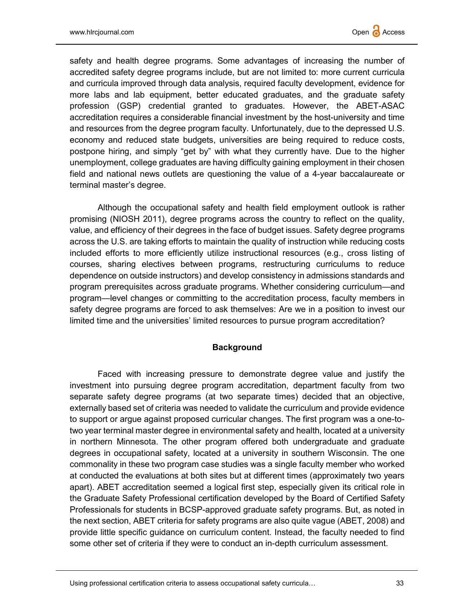

safety and health degree programs. Some advantages of increasing the number of accredited safety degree programs include, but are not limited to: more current curricula and curricula improved through data analysis, required faculty development, evidence for more labs and lab equipment, better educated graduates, and the graduate safety profession (GSP) credential granted to graduates. However, the ABET-ASAC accreditation requires a considerable financial investment by the host-university and time and resources from the degree program faculty. Unfortunately, due to the depressed U.S. economy and reduced state budgets, universities are being required to reduce costs, postpone hiring, and simply "get by" with what they currently have. Due to the higher unemployment, college graduates are having difficulty gaining employment in their chosen field and national news outlets are questioning the value of a 4-year baccalaureate or terminal master's degree.

Although the occupational safety and health field employment outlook is rather promising (NIOSH 2011), degree programs across the country to reflect on the quality, value, and efficiency of their degrees in the face of budget issues. Safety degree programs across the U.S. are taking efforts to maintain the quality of instruction while reducing costs included efforts to more efficiently utilize instructional resources (e.g., cross listing of courses, sharing electives between programs, restructuring curriculums to reduce dependence on outside instructors) and develop consistency in admissions standards and program prerequisites across graduate programs. Whether considering curriculum—and program—level changes or committing to the accreditation process, faculty members in safety degree programs are forced to ask themselves: Are we in a position to invest our limited time and the universities' limited resources to pursue program accreditation?

#### **Background**

Faced with increasing pressure to demonstrate degree value and justify the investment into pursuing degree program accreditation, department faculty from two separate safety degree programs (at two separate times) decided that an objective, externally based set of criteria was needed to validate the curriculum and provide evidence to support or argue against proposed curricular changes. The first program was a one-totwo year terminal master degree in environmental safety and health, located at a university in northern Minnesota. The other program offered both undergraduate and graduate degrees in occupational safety, located at a university in southern Wisconsin. The one commonality in these two program case studies was a single faculty member who worked at conducted the evaluations at both sites but at different times (approximately two years apart). ABET accreditation seemed a logical first step, especially given its critical role in the Graduate Safety Professional certification developed by the Board of Certified Safety Professionals for students in BCSP-approved graduate safety programs. But, as noted in the next section, ABET criteria for safety programs are also quite vague (ABET, 2008) and provide little specific guidance on curriculum content. Instead, the faculty needed to find some other set of criteria if they were to conduct an in-depth curriculum assessment.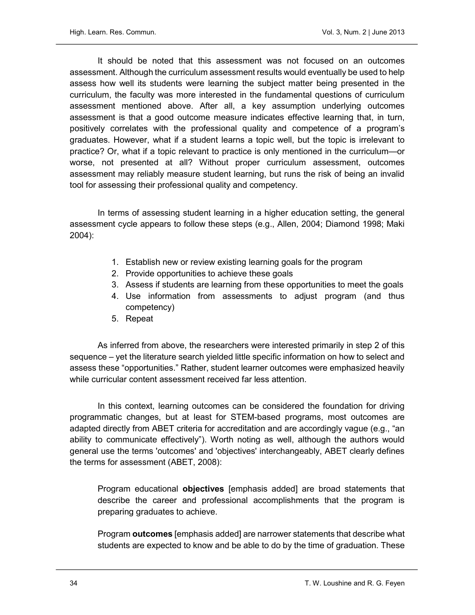It should be noted that this assessment was not focused on an outcomes assessment. Although the curriculum assessment results would eventually be used to help assess how well its students were learning the subject matter being presented in the curriculum, the faculty was more interested in the fundamental questions of curriculum assessment mentioned above. After all, a key assumption underlying outcomes assessment is that a good outcome measure indicates effective learning that, in turn, positively correlates with the professional quality and competence of a program's graduates. However, what if a student learns a topic well, but the topic is irrelevant to practice? Or, what if a topic relevant to practice is only mentioned in the curriculum—or worse, not presented at all? Without proper curriculum assessment, outcomes assessment may reliably measure student learning, but runs the risk of being an invalid tool for assessing their professional quality and competency.

In terms of assessing student learning in a higher education setting, the general assessment cycle appears to follow these steps (e.g., Allen, 2004; Diamond 1998; Maki 2004):

- 1. Establish new or review existing learning goals for the program
- 2. Provide opportunities to achieve these goals
- 3. Assess if students are learning from these opportunities to meet the goals
- 4. Use information from assessments to adjust program (and thus competency)
- 5. Repeat

As inferred from above, the researchers were interested primarily in step 2 of this sequence – yet the literature search yielded little specific information on how to select and assess these "opportunities." Rather, student learner outcomes were emphasized heavily while curricular content assessment received far less attention.

In this context, learning outcomes can be considered the foundation for driving programmatic changes, but at least for STEM-based programs, most outcomes are adapted directly from ABET criteria for accreditation and are accordingly vague (e.g., "an ability to communicate effectively"). Worth noting as well, although the authors would general use the terms 'outcomes' and 'objectives' interchangeably, ABET clearly defines the terms for assessment (ABET, 2008):

Program educational **objectives** [emphasis added] are broad statements that describe the career and professional accomplishments that the program is preparing graduates to achieve.

Program outcomes [emphasis added] are narrower statements that describe what students are expected to know and be able to do by the time of graduation. These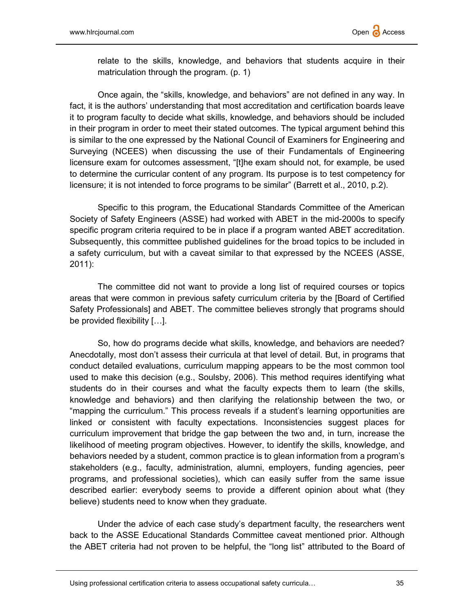

relate to the skills, knowledge, and behaviors that students acquire in their matriculation through the program. (p. 1)

Once again, the "skills, knowledge, and behaviors" are not defined in any way. In fact, it is the authors' understanding that most accreditation and certification boards leave it to program faculty to decide what skills, knowledge, and behaviors should be included in their program in order to meet their stated outcomes. The typical argument behind this is similar to the one expressed by the National Council of Examiners for Engineering and Surveying (NCEES) when discussing the use of their Fundamentals of Engineering licensure exam for outcomes assessment, "[t]he exam should not, for example, be used to determine the curricular content of any program. Its purpose is to test competency for licensure; it is not intended to force programs to be similar" (Barrett et al., 2010, p.2).

Specific to this program, the Educational Standards Committee of the American Society of Safety Engineers (ASSE) had worked with ABET in the mid-2000s to specify specific program criteria required to be in place if a program wanted ABET accreditation. Subsequently, this committee published guidelines for the broad topics to be included in a safety curriculum, but with a caveat similar to that expressed by the NCEES (ASSE, 2011):

The committee did not want to provide a long list of required courses or topics areas that were common in previous safety curriculum criteria by the [Board of Certified Safety Professionals] and ABET. The committee believes strongly that programs should be provided flexibility […].

So, how do programs decide what skills, knowledge, and behaviors are needed? Anecdotally, most don't assess their curricula at that level of detail. But, in programs that conduct detailed evaluations, curriculum mapping appears to be the most common tool used to make this decision (e.g., Soulsby, 2006). This method requires identifying what students do in their courses and what the faculty expects them to learn (the skills, knowledge and behaviors) and then clarifying the relationship between the two, or "mapping the curriculum." This process reveals if a student's learning opportunities are linked or consistent with faculty expectations. Inconsistencies suggest places for curriculum improvement that bridge the gap between the two and, in turn, increase the likelihood of meeting program objectives. However, to identify the skills, knowledge, and behaviors needed by a student, common practice is to glean information from a program's stakeholders (e.g., faculty, administration, alumni, employers, funding agencies, peer programs, and professional societies), which can easily suffer from the same issue described earlier: everybody seems to provide a different opinion about what (they believe) students need to know when they graduate.

Under the advice of each case study's department faculty, the researchers went back to the ASSE Educational Standards Committee caveat mentioned prior. Although the ABET criteria had not proven to be helpful, the "long list" attributed to the Board of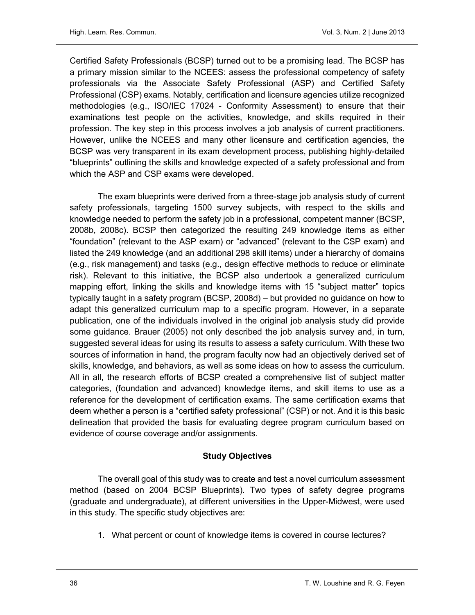Certified Safety Professionals (BCSP) turned out to be a promising lead. The BCSP has a primary mission similar to the NCEES: assess the professional competency of safety professionals via the Associate Safety Professional (ASP) and Certified Safety Professional (CSP) exams. Notably, certification and licensure agencies utilize recognized methodologies (e.g., ISO/IEC 17024 - Conformity Assessment) to ensure that their examinations test people on the activities, knowledge, and skills required in their profession. The key step in this process involves a job analysis of current practitioners. However, unlike the NCEES and many other licensure and certification agencies, the BCSP was very transparent in its exam development process, publishing highly-detailed "blueprints" outlining the skills and knowledge expected of a safety professional and from which the ASP and CSP exams were developed.

The exam blueprints were derived from a three-stage job analysis study of current safety professionals, targeting 1500 survey subjects, with respect to the skills and knowledge needed to perform the safety job in a professional, competent manner (BCSP, 2008b, 2008c). BCSP then categorized the resulting 249 knowledge items as either "foundation" (relevant to the ASP exam) or "advanced" (relevant to the CSP exam) and listed the 249 knowledge (and an additional 298 skill items) under a hierarchy of domains (e.g., risk management) and tasks (e.g., design effective methods to reduce or eliminate risk). Relevant to this initiative, the BCSP also undertook a generalized curriculum mapping effort, linking the skills and knowledge items with 15 "subject matter" topics typically taught in a safety program (BCSP, 2008d) – but provided no guidance on how to adapt this generalized curriculum map to a specific program. However, in a separate publication, one of the individuals involved in the original job analysis study did provide some guidance. Brauer (2005) not only described the job analysis survey and, in turn, suggested several ideas for using its results to assess a safety curriculum. With these two sources of information in hand, the program faculty now had an objectively derived set of skills, knowledge, and behaviors, as well as some ideas on how to assess the curriculum. All in all, the research efforts of BCSP created a comprehensive list of subject matter categories, (foundation and advanced) knowledge items, and skill items to use as a reference for the development of certification exams. The same certification exams that deem whether a person is a "certified safety professional" (CSP) or not. And it is this basic delineation that provided the basis for evaluating degree program curriculum based on evidence of course coverage and/or assignments.

## Study Objectives

The overall goal of this study was to create and test a novel curriculum assessment method (based on 2004 BCSP Blueprints). Two types of safety degree programs (graduate and undergraduate), at different universities in the Upper-Midwest, were used in this study. The specific study objectives are:

1. What percent or count of knowledge items is covered in course lectures?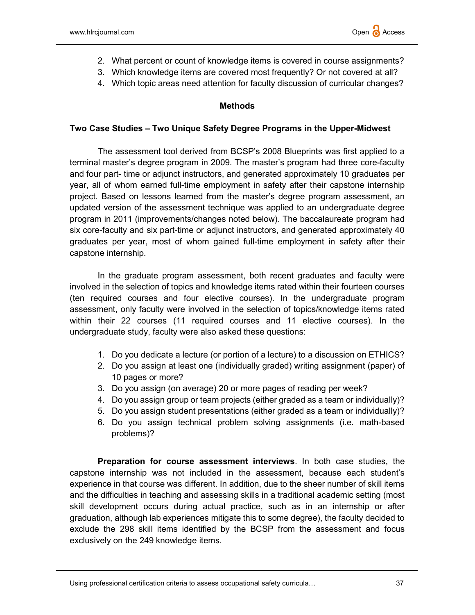- 2. What percent or count of knowledge items is covered in course assignments?
- 3. Which knowledge items are covered most frequently? Or not covered at all?
- 4. Which topic areas need attention for faculty discussion of curricular changes?

## Methods

### Two Case Studies – Two Unique Safety Degree Programs in the Upper-Midwest

The assessment tool derived from BCSP's 2008 Blueprints was first applied to a terminal master's degree program in 2009. The master's program had three core-faculty and four part- time or adjunct instructors, and generated approximately 10 graduates per year, all of whom earned full-time employment in safety after their capstone internship project. Based on lessons learned from the master's degree program assessment, an updated version of the assessment technique was applied to an undergraduate degree program in 2011 (improvements/changes noted below). The baccalaureate program had six core-faculty and six part-time or adjunct instructors, and generated approximately 40 graduates per year, most of whom gained full-time employment in safety after their capstone internship.

In the graduate program assessment, both recent graduates and faculty were involved in the selection of topics and knowledge items rated within their fourteen courses (ten required courses and four elective courses). In the undergraduate program assessment, only faculty were involved in the selection of topics/knowledge items rated within their 22 courses (11 required courses and 11 elective courses). In the undergraduate study, faculty were also asked these questions:

- 1. Do you dedicate a lecture (or portion of a lecture) to a discussion on ETHICS?
- 2. Do you assign at least one (individually graded) writing assignment (paper) of 10 pages or more?
- 3. Do you assign (on average) 20 or more pages of reading per week?
- 4. Do you assign group or team projects (either graded as a team or individually)?
- 5. Do you assign student presentations (either graded as a team or individually)?
- 6. Do you assign technical problem solving assignments (i.e. math-based problems)?

Preparation for course assessment interviews. In both case studies, the capstone internship was not included in the assessment, because each student's experience in that course was different. In addition, due to the sheer number of skill items and the difficulties in teaching and assessing skills in a traditional academic setting (most skill development occurs during actual practice, such as in an internship or after graduation, although lab experiences mitigate this to some degree), the faculty decided to exclude the 298 skill items identified by the BCSP from the assessment and focus exclusively on the 249 knowledge items.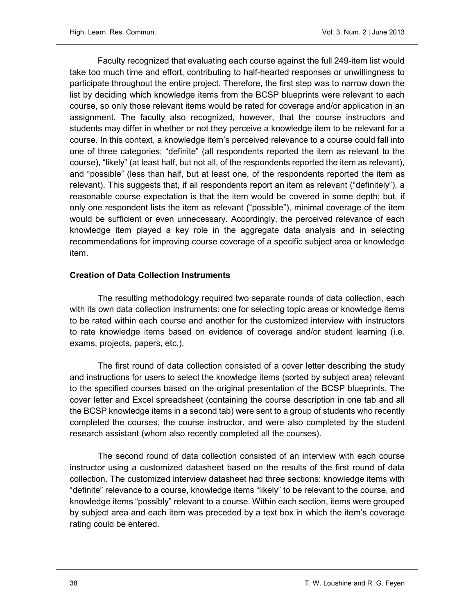Faculty recognized that evaluating each course against the full 249-item list would take too much time and effort, contributing to half-hearted responses or unwillingness to participate throughout the entire project. Therefore, the first step was to narrow down the list by deciding which knowledge items from the BCSP blueprints were relevant to each course, so only those relevant items would be rated for coverage and/or application in an assignment. The faculty also recognized, however, that the course instructors and students may differ in whether or not they perceive a knowledge item to be relevant for a course. In this context, a knowledge item's perceived relevance to a course could fall into one of three categories: "definite" (all respondents reported the item as relevant to the course), "likely" (at least half, but not all, of the respondents reported the item as relevant), and "possible" (less than half, but at least one, of the respondents reported the item as relevant). This suggests that, if all respondents report an item as relevant ("definitely"), a reasonable course expectation is that the item would be covered in some depth; but, if only one respondent lists the item as relevant ("possible"), minimal coverage of the item would be sufficient or even unnecessary. Accordingly, the perceived relevance of each knowledge item played a key role in the aggregate data analysis and in selecting recommendations for improving course coverage of a specific subject area or knowledge item.

### Creation of Data Collection Instruments

The resulting methodology required two separate rounds of data collection, each with its own data collection instruments: one for selecting topic areas or knowledge items to be rated within each course and another for the customized interview with instructors to rate knowledge items based on evidence of coverage and/or student learning (i.e. exams, projects, papers, etc.).

The first round of data collection consisted of a cover letter describing the study and instructions for users to select the knowledge items (sorted by subject area) relevant to the specified courses based on the original presentation of the BCSP blueprints. The cover letter and Excel spreadsheet (containing the course description in one tab and all the BCSP knowledge items in a second tab) were sent to a group of students who recently completed the courses, the course instructor, and were also completed by the student research assistant (whom also recently completed all the courses).

The second round of data collection consisted of an interview with each course instructor using a customized datasheet based on the results of the first round of data collection. The customized interview datasheet had three sections: knowledge items with "definite" relevance to a course, knowledge items "likely" to be relevant to the course, and knowledge items "possibly" relevant to a course. Within each section, items were grouped by subject area and each item was preceded by a text box in which the item's coverage rating could be entered.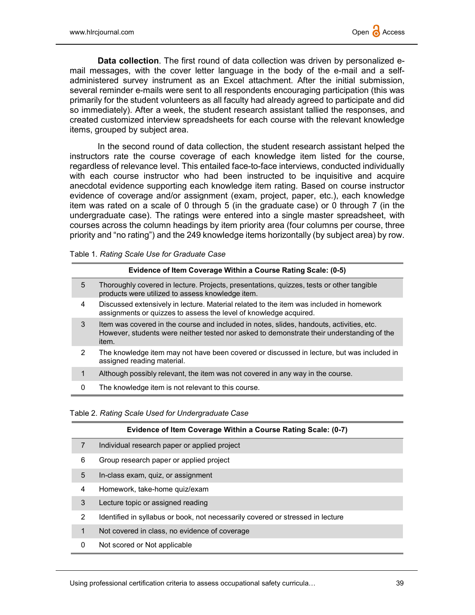Data collection. The first round of data collection was driven by personalized email messages, with the cover letter language in the body of the e-mail and a selfadministered survey instrument as an Excel attachment. After the initial submission, several reminder e-mails were sent to all respondents encouraging participation (this was primarily for the student volunteers as all faculty had already agreed to participate and did so immediately). After a week, the student research assistant tallied the responses, and created customized interview spreadsheets for each course with the relevant knowledge items, grouped by subject area.

In the second round of data collection, the student research assistant helped the instructors rate the course coverage of each knowledge item listed for the course, regardless of relevance level. This entailed face-to-face interviews, conducted individually with each course instructor who had been instructed to be inquisitive and acquire anecdotal evidence supporting each knowledge item rating. Based on course instructor evidence of coverage and/or assignment (exam, project, paper, etc.), each knowledge item was rated on a scale of 0 through 5 (in the graduate case) or 0 through 7 (in the undergraduate case). The ratings were entered into a single master spreadsheet, with courses across the column headings by item priority area (four columns per course, three priority and "no rating") and the 249 knowledge items horizontally (by subject area) by row.

#### Table 1. Rating Scale Use for Graduate Case

|   | Evidence of Item Coverage Within a Course Rating Scale: (0-5)                                                                                                                                  |
|---|------------------------------------------------------------------------------------------------------------------------------------------------------------------------------------------------|
| 5 | Thoroughly covered in lecture. Projects, presentations, quizzes, tests or other tangible<br>products were utilized to assess knowledge item.                                                   |
| 4 | Discussed extensively in lecture. Material related to the item was included in homework<br>assignments or quizzes to assess the level of knowledge acquired.                                   |
| 3 | Item was covered in the course and included in notes, slides, handouts, activities, etc.<br>However, students were neither tested nor asked to demonstrate their understanding of the<br>item. |
| 2 | The knowledge item may not have been covered or discussed in lecture, but was included in<br>assigned reading material.                                                                        |
| 1 | Although possibly relevant, the item was not covered in any way in the course.                                                                                                                 |
| 0 | The knowledge item is not relevant to this course.                                                                                                                                             |
|   |                                                                                                                                                                                                |

#### Table 2. Rating Scale Used for Undergraduate Case

#### Evidence of Item Coverage Within a Course Rating Scale: (0-7)

|              | Individual research paper or applied project                                   |
|--------------|--------------------------------------------------------------------------------|
| 6            | Group research paper or applied project                                        |
| 5            | In-class exam, quiz, or assignment                                             |
| 4            | Homework, take-home quiz/exam                                                  |
| 3            | Lecture topic or assigned reading                                              |
| 2            | Identified in syllabus or book, not necessarily covered or stressed in lecture |
| $\mathbf{1}$ | Not covered in class, no evidence of coverage                                  |
| 0            | Not scored or Not applicable                                                   |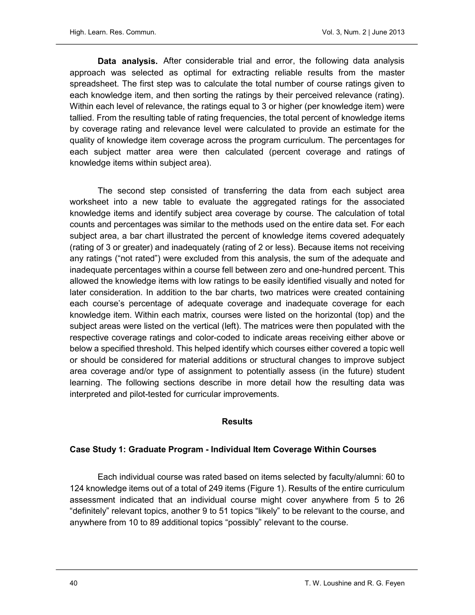Data analysis. After considerable trial and error, the following data analysis approach was selected as optimal for extracting reliable results from the master spreadsheet. The first step was to calculate the total number of course ratings given to each knowledge item, and then sorting the ratings by their perceived relevance (rating). Within each level of relevance, the ratings equal to 3 or higher (per knowledge item) were tallied. From the resulting table of rating frequencies, the total percent of knowledge items by coverage rating and relevance level were calculated to provide an estimate for the quality of knowledge item coverage across the program curriculum. The percentages for each subject matter area were then calculated (percent coverage and ratings of knowledge items within subject area).

The second step consisted of transferring the data from each subject area worksheet into a new table to evaluate the aggregated ratings for the associated knowledge items and identify subject area coverage by course. The calculation of total counts and percentages was similar to the methods used on the entire data set. For each subject area, a bar chart illustrated the percent of knowledge items covered adequately (rating of 3 or greater) and inadequately (rating of 2 or less). Because items not receiving any ratings ("not rated") were excluded from this analysis, the sum of the adequate and inadequate percentages within a course fell between zero and one-hundred percent. This allowed the knowledge items with low ratings to be easily identified visually and noted for later consideration. In addition to the bar charts, two matrices were created containing each course's percentage of adequate coverage and inadequate coverage for each knowledge item. Within each matrix, courses were listed on the horizontal (top) and the subject areas were listed on the vertical (left). The matrices were then populated with the respective coverage ratings and color-coded to indicate areas receiving either above or below a specified threshold. This helped identify which courses either covered a topic well or should be considered for material additions or structural changes to improve subject area coverage and/or type of assignment to potentially assess (in the future) student learning. The following sections describe in more detail how the resulting data was interpreted and pilot-tested for curricular improvements.

## **Results**

## Case Study 1: Graduate Program - Individual Item Coverage Within Courses

Each individual course was rated based on items selected by faculty/alumni: 60 to 124 knowledge items out of a total of 249 items (Figure 1). Results of the entire curriculum assessment indicated that an individual course might cover anywhere from 5 to 26 "definitely" relevant topics, another 9 to 51 topics "likely" to be relevant to the course, and anywhere from 10 to 89 additional topics "possibly" relevant to the course.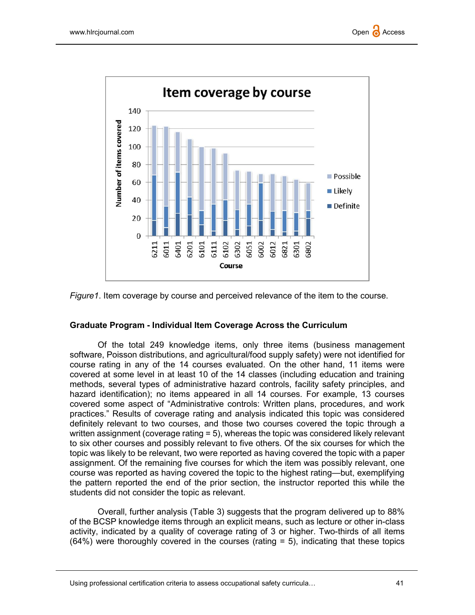



#### Graduate Program - Individual Item Coverage Across the Curriculum

Of the total 249 knowledge items, only three items (business management software, Poisson distributions, and agricultural/food supply safety) were not identified for course rating in any of the 14 courses evaluated. On the other hand, 11 items were covered at some level in at least 10 of the 14 classes (including education and training methods, several types of administrative hazard controls, facility safety principles, and hazard identification); no items appeared in all 14 courses. For example, 13 courses covered some aspect of "Administrative controls: Written plans, procedures, and work practices." Results of coverage rating and analysis indicated this topic was considered definitely relevant to two courses, and those two courses covered the topic through a written assignment (coverage rating = 5), whereas the topic was considered likely relevant to six other courses and possibly relevant to five others. Of the six courses for which the topic was likely to be relevant, two were reported as having covered the topic with a paper assignment. Of the remaining five courses for which the item was possibly relevant, one course was reported as having covered the topic to the highest rating—but, exemplifying the pattern reported the end of the prior section, the instructor reported this while the students did not consider the topic as relevant.

Overall, further analysis (Table 3) suggests that the program delivered up to 88% of the BCSP knowledge items through an explicit means, such as lecture or other in-class activity, indicated by a quality of coverage rating of 3 or higher. Two-thirds of all items  $(64%)$  were thoroughly covered in the courses (rating  $= 5$ ), indicating that these topics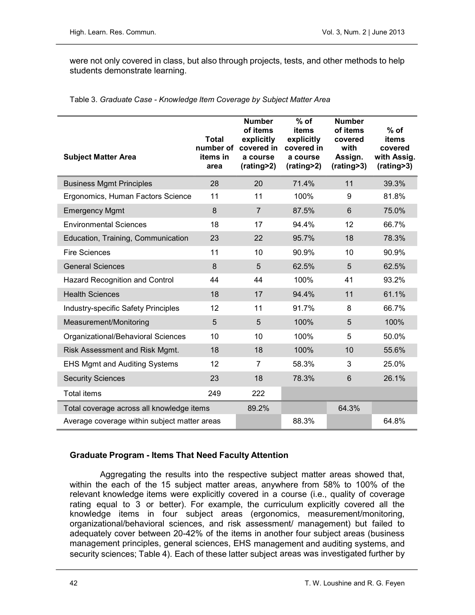were not only covered in class, but also through projects, tests, and other methods to help students demonstrate learning.

| <b>Subject Matter Area</b>                   | Total<br>number of<br>items in<br>area | <b>Number</b><br>of items<br>explicitly<br>covered in<br>a course<br>(rating>2) | $%$ of<br>items<br>explicitly<br>covered in<br>a course<br>(rating>2) | <b>Number</b><br>of items<br>covered<br>with<br>Assign.<br>(rating>3) | $%$ of<br>items<br>covered<br>with Assig.<br>(rating>3) |
|----------------------------------------------|----------------------------------------|---------------------------------------------------------------------------------|-----------------------------------------------------------------------|-----------------------------------------------------------------------|---------------------------------------------------------|
| <b>Business Mgmt Principles</b>              | 28                                     | 20                                                                              | 71.4%                                                                 | 11                                                                    | 39.3%                                                   |
| Ergonomics, Human Factors Science            | 11                                     | 11                                                                              | 100%                                                                  | 9                                                                     | 81.8%                                                   |
| <b>Emergency Mgmt</b>                        | 8                                      | $\overline{7}$                                                                  | 87.5%                                                                 | $6\phantom{1}6$                                                       | 75.0%                                                   |
| <b>Environmental Sciences</b>                | 18                                     | 17                                                                              | 94.4%                                                                 | 12                                                                    | 66.7%                                                   |
| Education, Training, Communication           | 23                                     | 22                                                                              | 95.7%                                                                 | 18                                                                    | 78.3%                                                   |
| <b>Fire Sciences</b>                         | 11                                     | 10                                                                              | 90.9%                                                                 | 10                                                                    | 90.9%                                                   |
| <b>General Sciences</b>                      | 8                                      | 5                                                                               | 62.5%                                                                 | 5                                                                     | 62.5%                                                   |
| <b>Hazard Recognition and Control</b>        | 44                                     | 44                                                                              | 100%                                                                  | 41                                                                    | 93.2%                                                   |
| <b>Health Sciences</b>                       | 18                                     | 17                                                                              | 94.4%                                                                 | 11                                                                    | 61.1%                                                   |
| Industry-specific Safety Principles          | 12                                     | 11                                                                              | 91.7%                                                                 | 8                                                                     | 66.7%                                                   |
| Measurement/Monitoring                       | 5                                      | 5                                                                               | 100%                                                                  | 5                                                                     | 100%                                                    |
| Organizational/Behavioral Sciences           | 10                                     | 10                                                                              | 100%                                                                  | 5                                                                     | 50.0%                                                   |
| Risk Assessment and Risk Mgmt.               | 18                                     | 18                                                                              | 100%                                                                  | 10                                                                    | 55.6%                                                   |
| <b>EHS Mgmt and Auditing Systems</b>         | 12                                     | $\overline{7}$                                                                  | 58.3%                                                                 | 3                                                                     | 25.0%                                                   |
| <b>Security Sciences</b>                     | 23                                     | 18                                                                              | 78.3%                                                                 | 6                                                                     | 26.1%                                                   |
| <b>Total items</b>                           | 249                                    | 222                                                                             |                                                                       |                                                                       |                                                         |
| Total coverage across all knowledge items    |                                        | 89.2%                                                                           |                                                                       | 64.3%                                                                 |                                                         |
| Average coverage within subject matter areas |                                        |                                                                                 | 88.3%                                                                 |                                                                       | 64.8%                                                   |

Table 3. Graduate Case - Knowledge Item Coverage by Subject Matter Area

## Graduate Program - Items That Need Faculty Attention

Aggregating the results into the respective subject matter areas showed that, within the each of the 15 subject matter areas, anywhere from 58% to 100% of the relevant knowledge items were explicitly covered in a course (i.e., quality of coverage rating equal to 3 or better). For example, the curriculum explicitly covered all the knowledge items in four subject areas (ergonomics, measurement/monitoring, organizational/behavioral sciences, and risk assessment/ management) but failed to adequately cover between 20-42% of the items in another four subject areas (business management principles, general sciences, EHS management and auditing systems, and security sciences; Table 4). Each of these latter subject areas was investigated further by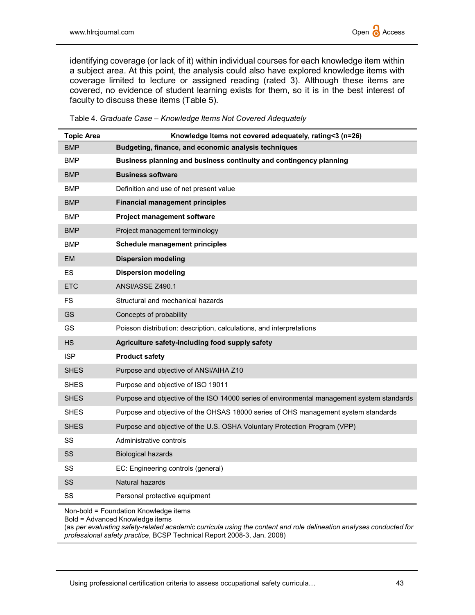identifying coverage (or lack of it) within individual courses for each knowledge item within a subject area. At this point, the analysis could also have explored knowledge items with coverage limited to lecture or assigned reading (rated 3). Although these items are covered, no evidence of student learning exists for them, so it is in the best interest of faculty to discuss these items (Table 5).

| <b>Topic Area</b> | Knowledge Items not covered adequately, rating<3 (n=26)                                    |
|-------------------|--------------------------------------------------------------------------------------------|
| <b>BMP</b>        | Budgeting, finance, and economic analysis techniques                                       |
| BMP               | Business planning and business continuity and contingency planning                         |
| <b>BMP</b>        | <b>Business software</b>                                                                   |
| BMP               | Definition and use of net present value                                                    |
| <b>BMP</b>        | <b>Financial management principles</b>                                                     |
| <b>BMP</b>        | Project management software                                                                |
| <b>BMP</b>        | Project management terminology                                                             |
| BMP               | Schedule management principles                                                             |
| EM                | <b>Dispersion modeling</b>                                                                 |
| ES                | <b>Dispersion modeling</b>                                                                 |
| <b>ETC</b>        | ANSI/ASSE Z490.1                                                                           |
| FS.               | Structural and mechanical hazards                                                          |
| GS                | Concepts of probability                                                                    |
| GS                | Poisson distribution: description, calculations, and interpretations                       |
| <b>HS</b>         | Agriculture safety-including food supply safety                                            |
| <b>ISP</b>        | <b>Product safety</b>                                                                      |
| SHES              | Purpose and objective of ANSI/AIHA Z10                                                     |
| <b>SHES</b>       | Purpose and objective of ISO 19011                                                         |
| <b>SHES</b>       | Purpose and objective of the ISO 14000 series of environmental management system standards |
| <b>SHES</b>       | Purpose and objective of the OHSAS 18000 series of OHS management system standards         |
| <b>SHES</b>       | Purpose and objective of the U.S. OSHA Voluntary Protection Program (VPP)                  |
| SS                | Administrative controls                                                                    |
| SS                | <b>Biological hazards</b>                                                                  |
| SS                | EC: Engineering controls (general)                                                         |
| SS                | Natural hazards                                                                            |
| SS                | Personal protective equipment                                                              |

Table 4. Graduate Case – Knowledge Items Not Covered Adequately

Non-bold = Foundation Knowledge items

Bold = Advanced Knowledge items

(as per evaluating safety-related academic curricula using the content and role delineation analyses conducted for professional safety practice, BCSP Technical Report 2008-3, Jan. 2008)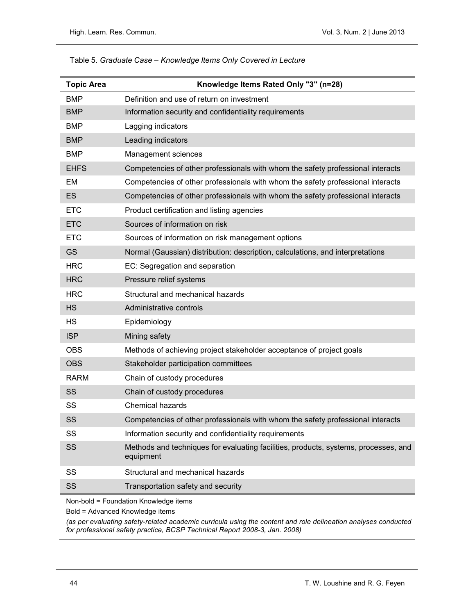| <b>Topic Area</b> | Knowledge Items Rated Only "3" (n=28)                                                            |
|-------------------|--------------------------------------------------------------------------------------------------|
| <b>BMP</b>        | Definition and use of return on investment                                                       |
| <b>BMP</b>        | Information security and confidentiality requirements                                            |
| <b>BMP</b>        | Lagging indicators                                                                               |
| <b>BMP</b>        | Leading indicators                                                                               |
| <b>BMP</b>        | Management sciences                                                                              |
| <b>EHFS</b>       | Competencies of other professionals with whom the safety professional interacts                  |
| EM                | Competencies of other professionals with whom the safety professional interacts                  |
| ES                | Competencies of other professionals with whom the safety professional interacts                  |
| <b>ETC</b>        | Product certification and listing agencies                                                       |
| <b>ETC</b>        | Sources of information on risk                                                                   |
| <b>ETC</b>        | Sources of information on risk management options                                                |
| <b>GS</b>         | Normal (Gaussian) distribution: description, calculations, and interpretations                   |
| <b>HRC</b>        | EC: Segregation and separation                                                                   |
| <b>HRC</b>        | Pressure relief systems                                                                          |
| <b>HRC</b>        | Structural and mechanical hazards                                                                |
| <b>HS</b>         | Administrative controls                                                                          |
| НS                | Epidemiology                                                                                     |
| <b>ISP</b>        | Mining safety                                                                                    |
| <b>OBS</b>        | Methods of achieving project stakeholder acceptance of project goals                             |
| <b>OBS</b>        | Stakeholder participation committees                                                             |
| <b>RARM</b>       | Chain of custody procedures                                                                      |
| SS                | Chain of custody procedures                                                                      |
| SS                | <b>Chemical hazards</b>                                                                          |
| SS                | Competencies of other professionals with whom the safety professional interacts                  |
| SS                | Information security and confidentiality requirements                                            |
| SS                | Methods and techniques for evaluating facilities, products, systems, processes, and<br>equipment |
| SS                | Structural and mechanical hazards                                                                |
| SS                | Transportation safety and security                                                               |

#### Table 5. Graduate Case – Knowledge Items Only Covered in Lecture

Non-bold = Foundation Knowledge items

Bold = Advanced Knowledge items

(as per evaluating safety-related academic curricula using the content and role delineation analyses conducted for professional safety practice, BCSP Technical Report 2008-3, Jan. 2008)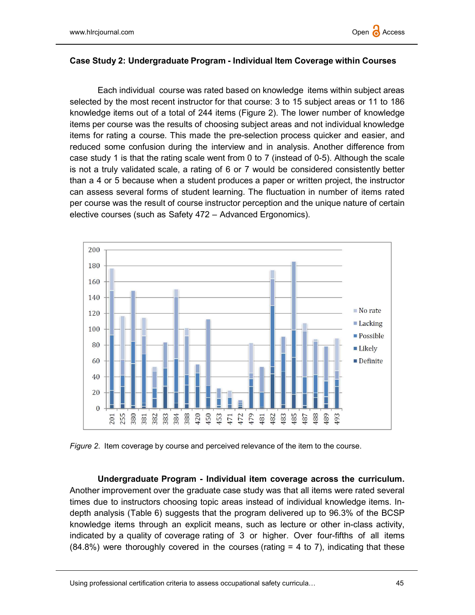### Case Study 2: Undergraduate Program - Individual Item Coverage within Courses

Each individual course was rated based on knowledge items within subject areas selected by the most recent instructor for that course: 3 to 15 subject areas or 11 to 186 knowledge items out of a total of 244 items (Figure 2). The lower number of knowledge items per course was the results of choosing subject areas and not individual knowledge items for rating a course. This made the pre-selection process quicker and easier, and reduced some confusion during the interview and in analysis. Another difference from case study 1 is that the rating scale went from 0 to 7 (instead of 0-5). Although the scale is not a truly validated scale, a rating of 6 or 7 would be considered consistently better than a 4 or 5 because when a student produces a paper or written project, the instructor can assess several forms of student learning. The fluctuation in number of items rated per course was the result of course instructor perception and the unique nature of certain elective courses (such as Safety 472 – Advanced Ergonomics).



Figure 2. Item coverage by course and perceived relevance of the item to the course.

Undergraduate Program - Individual item coverage across the curriculum. Another improvement over the graduate case study was that all items were rated several times due to instructors choosing topic areas instead of individual knowledge items. Indepth analysis (Table 6) suggests that the program delivered up to 96.3% of the BCSP knowledge items through an explicit means, such as lecture or other in-class activity, indicated by a quality of coverage rating of 3 or higher. Over four-fifths of all items  $(84.8%)$  were thoroughly covered in the courses (rating  $= 4$  to 7), indicating that these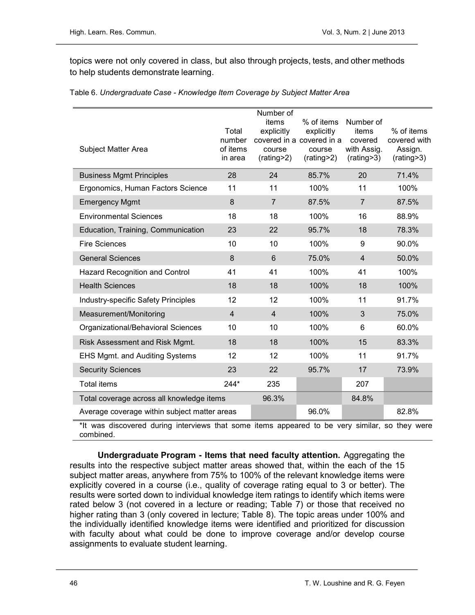topics were not only covered in class, but also through projects, tests, and other methods to help students demonstrate learning.

| <b>Subject Matter Area</b>                   | Total<br>number<br>of items<br>in area | Number of<br>items<br>explicitly<br>course<br>(rating > 2) | % of items<br>explicitly<br>covered in a covered in a<br>course<br>(rating > 2) | Number of<br>items<br>covered<br>with Assig.<br>(rating > 3) | % of items<br>covered with<br>Assign.<br>(rating>3) |
|----------------------------------------------|----------------------------------------|------------------------------------------------------------|---------------------------------------------------------------------------------|--------------------------------------------------------------|-----------------------------------------------------|
| <b>Business Mgmt Principles</b>              | 28                                     | 24                                                         | 85.7%                                                                           | 20                                                           | 71.4%                                               |
| Ergonomics, Human Factors Science            | 11                                     | 11                                                         | 100%                                                                            | 11                                                           | 100%                                                |
| <b>Emergency Mgmt</b>                        | 8                                      | $\overline{7}$                                             | 87.5%                                                                           | $\overline{7}$                                               | 87.5%                                               |
| <b>Environmental Sciences</b>                | 18                                     | 18                                                         | 100%                                                                            | 16                                                           | 88.9%                                               |
| Education, Training, Communication           | 23                                     | 22                                                         | 95.7%                                                                           | 18                                                           | 78.3%                                               |
| <b>Fire Sciences</b>                         | 10                                     | 10                                                         | 100%                                                                            | 9                                                            | 90.0%                                               |
| <b>General Sciences</b>                      | 8                                      | 6                                                          | 75.0%                                                                           | $\overline{4}$                                               | 50.0%                                               |
| <b>Hazard Recognition and Control</b>        | 41                                     | 41                                                         | 100%                                                                            | 41                                                           | 100%                                                |
| <b>Health Sciences</b>                       | 18                                     | 18                                                         | 100%                                                                            | 18                                                           | 100%                                                |
| Industry-specific Safety Principles          | 12                                     | 12                                                         | 100%                                                                            | 11                                                           | 91.7%                                               |
| Measurement/Monitoring                       | $\overline{4}$                         | $\overline{4}$                                             | 100%                                                                            | 3                                                            | 75.0%                                               |
| Organizational/Behavioral Sciences           | 10                                     | 10                                                         | 100%                                                                            | 6                                                            | 60.0%                                               |
| Risk Assessment and Risk Mgmt.               | 18                                     | 18                                                         | 100%                                                                            | 15                                                           | 83.3%                                               |
| <b>EHS Mgmt. and Auditing Systems</b>        | 12                                     | 12                                                         | 100%                                                                            | 11                                                           | 91.7%                                               |
| <b>Security Sciences</b>                     | 23                                     | 22                                                         | 95.7%                                                                           | 17                                                           | 73.9%                                               |
| <b>Total items</b>                           | 244*                                   | 235                                                        |                                                                                 | 207                                                          |                                                     |
| Total coverage across all knowledge items    |                                        | 96.3%                                                      |                                                                                 | 84.8%                                                        |                                                     |
| Average coverage within subject matter areas |                                        |                                                            | 96.0%                                                                           |                                                              | 82.8%                                               |

\*It was discovered during interviews that some items appeared to be very similar, so they were combined.

Undergraduate Program - Items that need faculty attention. Aggregating the results into the respective subject matter areas showed that, within the each of the 15 subject matter areas, anywhere from 75% to 100% of the relevant knowledge items were explicitly covered in a course (i.e., quality of coverage rating equal to 3 or better). The results were sorted down to individual knowledge item ratings to identify which items were rated below 3 (not covered in a lecture or reading; Table 7) or those that received no higher rating than 3 (only covered in lecture; Table 8). The topic areas under 100% and the individually identified knowledge items were identified and prioritized for discussion with faculty about what could be done to improve coverage and/or develop course assignments to evaluate student learning.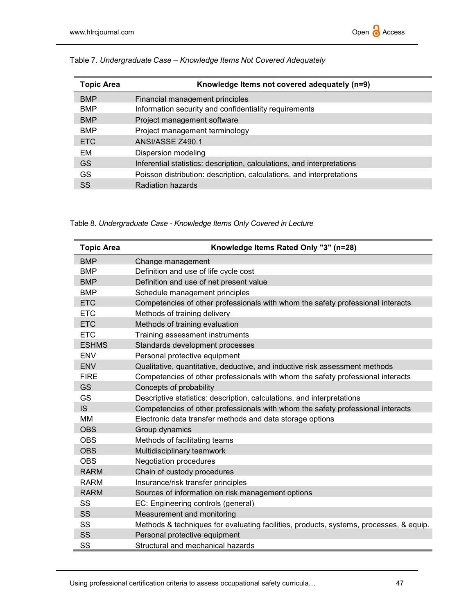| <b>Topic Area</b> | Knowledge Items not covered adequately (n=9)                           |
|-------------------|------------------------------------------------------------------------|
| <b>BMP</b>        | Financial management principles                                        |
| <b>BMP</b>        | Information security and confidentiality requirements                  |
| <b>BMP</b>        | Project management software                                            |
| <b>BMP</b>        | Project management terminology                                         |
| <b>ETC</b>        | ANSI/ASSE Z490.1                                                       |
| EM                | Dispersion modeling                                                    |
| GS                | Inferential statistics: description, calculations, and interpretations |
| GS                | Poisson distribution: description, calculations, and interpretations   |
| SS                | Radiation hazards                                                      |

## Table 7. Undergraduate Case – Knowledge Items Not Covered Adequately

| Table 8. Undergraduate Case - Knowledge Items Only Covered in Lecture |  |  |
|-----------------------------------------------------------------------|--|--|
|-----------------------------------------------------------------------|--|--|

| <b>Topic Area</b> | Knowledge Items Rated Only "3" (n=28)                                                  |
|-------------------|----------------------------------------------------------------------------------------|
| <b>BMP</b>        | Change management                                                                      |
| <b>BMP</b>        | Definition and use of life cycle cost                                                  |
| <b>BMP</b>        | Definition and use of net present value                                                |
| <b>BMP</b>        | Schedule management principles                                                         |
| <b>ETC</b>        | Competencies of other professionals with whom the safety professional interacts        |
| <b>ETC</b>        | Methods of training delivery                                                           |
| <b>ETC</b>        | Methods of training evaluation                                                         |
| <b>ETC</b>        | Training assessment instruments                                                        |
| <b>ESHMS</b>      | Standards development processes                                                        |
| <b>ENV</b>        | Personal protective equipment                                                          |
| <b>ENV</b>        | Qualitative, quantitative, deductive, and inductive risk assessment methods            |
| <b>FIRE</b>       | Competencies of other professionals with whom the safety professional interacts        |
| GS                | Concepts of probability                                                                |
| GS                | Descriptive statistics: description, calculations, and interpretations                 |
| <b>IS</b>         | Competencies of other professionals with whom the safety professional interacts        |
| MМ                | Electronic data transfer methods and data storage options                              |
| <b>OBS</b>        | Group dynamics                                                                         |
| <b>OBS</b>        | Methods of facilitating teams                                                          |
| <b>OBS</b>        | Multidisciplinary teamwork                                                             |
| <b>OBS</b>        | <b>Negotiation procedures</b>                                                          |
| <b>RARM</b>       | Chain of custody procedures                                                            |
| <b>RARM</b>       | Insurance/risk transfer principles                                                     |
| <b>RARM</b>       | Sources of information on risk management options                                      |
| SS                | EC: Engineering controls (general)                                                     |
| SS                | Measurement and monitoring                                                             |
| SS                | Methods & techniques for evaluating facilities, products, systems, processes, & equip. |
| SS                | Personal protective equipment                                                          |
| SS                | Structural and mechanical hazards                                                      |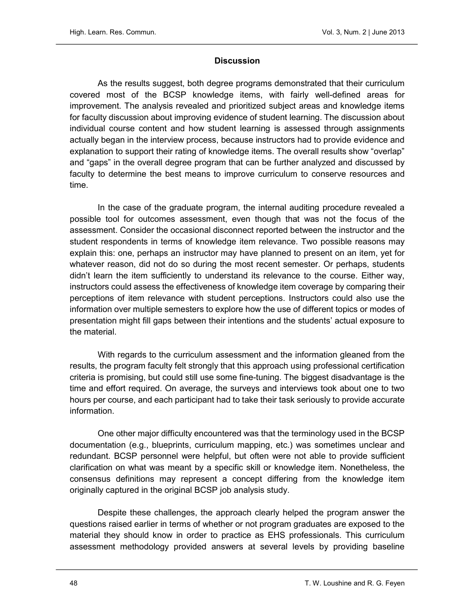#### **Discussion**

As the results suggest, both degree programs demonstrated that their curriculum covered most of the BCSP knowledge items, with fairly well-defined areas for improvement. The analysis revealed and prioritized subject areas and knowledge items for faculty discussion about improving evidence of student learning. The discussion about individual course content and how student learning is assessed through assignments actually began in the interview process, because instructors had to provide evidence and explanation to support their rating of knowledge items. The overall results show "overlap" and "gaps" in the overall degree program that can be further analyzed and discussed by faculty to determine the best means to improve curriculum to conserve resources and time.

In the case of the graduate program, the internal auditing procedure revealed a possible tool for outcomes assessment, even though that was not the focus of the assessment. Consider the occasional disconnect reported between the instructor and the student respondents in terms of knowledge item relevance. Two possible reasons may explain this: one, perhaps an instructor may have planned to present on an item, yet for whatever reason, did not do so during the most recent semester. Or perhaps, students didn't learn the item sufficiently to understand its relevance to the course. Either way, instructors could assess the effectiveness of knowledge item coverage by comparing their perceptions of item relevance with student perceptions. Instructors could also use the information over multiple semesters to explore how the use of different topics or modes of presentation might fill gaps between their intentions and the students' actual exposure to the material.

With regards to the curriculum assessment and the information gleaned from the results, the program faculty felt strongly that this approach using professional certification criteria is promising, but could still use some fine-tuning. The biggest disadvantage is the time and effort required. On average, the surveys and interviews took about one to two hours per course, and each participant had to take their task seriously to provide accurate information.

One other major difficulty encountered was that the terminology used in the BCSP documentation (e.g., blueprints, curriculum mapping, etc.) was sometimes unclear and redundant. BCSP personnel were helpful, but often were not able to provide sufficient clarification on what was meant by a specific skill or knowledge item. Nonetheless, the consensus definitions may represent a concept differing from the knowledge item originally captured in the original BCSP job analysis study.

Despite these challenges, the approach clearly helped the program answer the questions raised earlier in terms of whether or not program graduates are exposed to the material they should know in order to practice as EHS professionals. This curriculum assessment methodology provided answers at several levels by providing baseline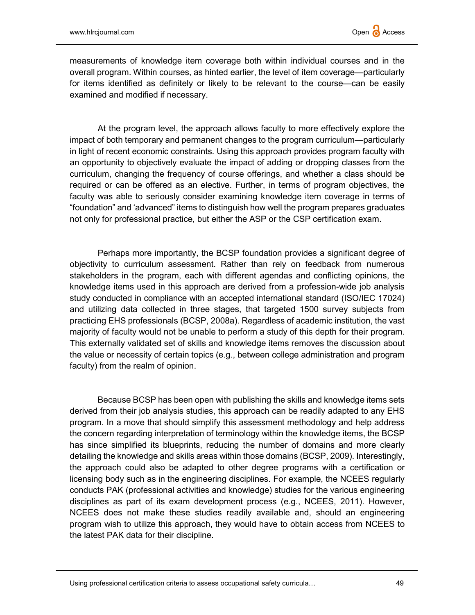measurements of knowledge item coverage both within individual courses and in the overall program. Within courses, as hinted earlier, the level of item coverage—particularly for items identified as definitely or likely to be relevant to the course—can be easily examined and modified if necessary.

At the program level, the approach allows faculty to more effectively explore the impact of both temporary and permanent changes to the program curriculum—particularly in light of recent economic constraints. Using this approach provides program faculty with an opportunity to objectively evaluate the impact of adding or dropping classes from the curriculum, changing the frequency of course offerings, and whether a class should be required or can be offered as an elective. Further, in terms of program objectives, the faculty was able to seriously consider examining knowledge item coverage in terms of "foundation" and 'advanced" items to distinguish how well the program prepares graduates not only for professional practice, but either the ASP or the CSP certification exam.

Perhaps more importantly, the BCSP foundation provides a significant degree of objectivity to curriculum assessment. Rather than rely on feedback from numerous stakeholders in the program, each with different agendas and conflicting opinions, the knowledge items used in this approach are derived from a profession-wide job analysis study conducted in compliance with an accepted international standard (ISO/IEC 17024) and utilizing data collected in three stages, that targeted 1500 survey subjects from practicing EHS professionals (BCSP, 2008a). Regardless of academic institution, the vast majority of faculty would not be unable to perform a study of this depth for their program. This externally validated set of skills and knowledge items removes the discussion about the value or necessity of certain topics (e.g., between college administration and program faculty) from the realm of opinion.

Because BCSP has been open with publishing the skills and knowledge items sets derived from their job analysis studies, this approach can be readily adapted to any EHS program. In a move that should simplify this assessment methodology and help address the concern regarding interpretation of terminology within the knowledge items, the BCSP has since simplified its blueprints, reducing the number of domains and more clearly detailing the knowledge and skills areas within those domains (BCSP, 2009). Interestingly, the approach could also be adapted to other degree programs with a certification or licensing body such as in the engineering disciplines. For example, the NCEES regularly conducts PAK (professional activities and knowledge) studies for the various engineering disciplines as part of its exam development process (e.g., NCEES, 2011). However, NCEES does not make these studies readily available and, should an engineering program wish to utilize this approach, they would have to obtain access from NCEES to the latest PAK data for their discipline.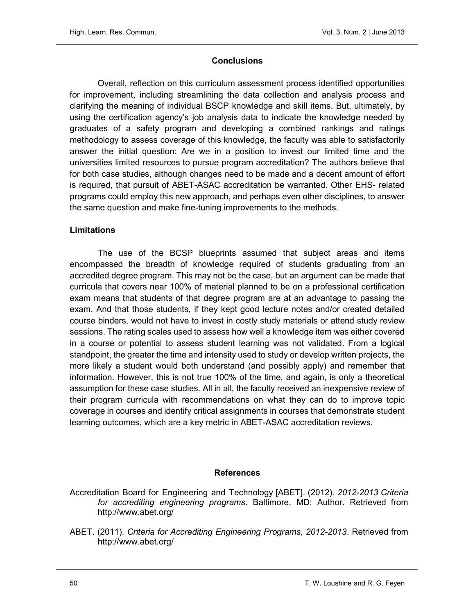### **Conclusions**

Overall, reflection on this curriculum assessment process identified opportunities for improvement, including streamlining the data collection and analysis process and clarifying the meaning of individual BSCP knowledge and skill items. But, ultimately, by using the certification agency's job analysis data to indicate the knowledge needed by graduates of a safety program and developing a combined rankings and ratings methodology to assess coverage of this knowledge, the faculty was able to satisfactorily answer the initial question: Are we in a position to invest our limited time and the universities limited resources to pursue program accreditation? The authors believe that for both case studies, although changes need to be made and a decent amount of effort is required, that pursuit of ABET-ASAC accreditation be warranted. Other EHS- related programs could employ this new approach, and perhaps even other disciplines, to answer the same question and make fine-tuning improvements to the methods.

### **Limitations**

The use of the BCSP blueprints assumed that subject areas and items encompassed the breadth of knowledge required of students graduating from an accredited degree program. This may not be the case, but an argument can be made that curricula that covers near 100% of material planned to be on a professional certification exam means that students of that degree program are at an advantage to passing the exam. And that those students, if they kept good lecture notes and/or created detailed course binders, would not have to invest in costly study materials or attend study review sessions. The rating scales used to assess how well a knowledge item was either covered in a course or potential to assess student learning was not validated. From a logical standpoint, the greater the time and intensity used to study or develop written projects, the more likely a student would both understand (and possibly apply) and remember that information. However, this is not true 100% of the time, and again, is only a theoretical assumption for these case studies. All in all, the faculty received an inexpensive review of their program curricula with recommendations on what they can do to improve topic coverage in courses and identify critical assignments in courses that demonstrate student learning outcomes, which are a key metric in ABET-ASAC accreditation reviews.

#### References

Accreditation Board for Engineering and Technology [ABET]. (2012). 2012-2013 Criteria for accrediting engineering programs. Baltimore, MD: Author. Retrieved from http://www.abet.org/

ABET. (2011). Criteria for Accrediting Engineering Programs, 2012-2013. Retrieved from http://www.abet.org/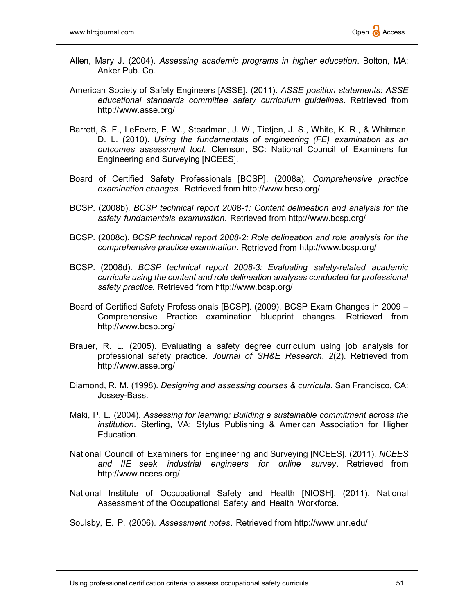- Allen, Mary J. (2004). Assessing academic programs in higher education. Bolton, MA: Anker Pub. Co.
- American Society of Safety Engineers [ASSE]. (2011). ASSE position statements: ASSE educational standards committee safety curriculum guidelines. Retrieved from http://www.asse.org/
- Barrett, S. F., LeFevre, E. W., Steadman, J. W., Tietjen, J. S., White, K. R., & Whitman, D. L. (2010). Using the fundamentals of engineering (FE) examination as an outcomes assessment tool. Clemson, SC: National Council of Examiners for Engineering and Surveying [NCEES].
- Board of Certified Safety Professionals [BCSP]. (2008a). Comprehensive practice examination changes. Retrieved from http://www.bcsp.org/
- BCSP. (2008b). BCSP technical report 2008-1: Content delineation and analysis for the safety fundamentals examination. Retrieved from http://www.bcsp.org/
- BCSP. (2008c). BCSP technical report 2008-2: Role delineation and role analysis for the comprehensive practice examination. Retrieved from http://www.bcsp.org/
- BCSP. (2008d). BCSP technical report 2008-3: Evaluating safety-related academic curricula using the content and role delineation analyses conducted for professional safety practice. Retrieved from http://www.bcsp.org/
- Board of Certified Safety Professionals [BCSP]. (2009). BCSP Exam Changes in 2009 Comprehensive Practice examination blueprint changes. Retrieved from http://www.bcsp.org/
- Brauer, R. L. (2005). Evaluating a safety degree curriculum using job analysis for professional safety practice. Journal of SH&E Research, 2(2). Retrieved from http://www.asse.org/
- Diamond, R. M. (1998). Designing and assessing courses & curricula. San Francisco, CA: Jossey-Bass.
- Maki, P. L. (2004). Assessing for learning: Building a sustainable commitment across the institution. Sterling, VA: Stylus Publishing & American Association for Higher Education.
- National Council of Examiners for Engineering and Surveying [NCEES]. (2011). NCEES and IIE seek industrial engineers for online survey. Retrieved from http://www.ncees.org/
- National Institute of Occupational Safety and Health [NIOSH]. (2011). National Assessment of the Occupational Safety and Health Workforce.

Soulsby, E. P. (2006). Assessment notes. Retrieved from http://www.unr.edu/